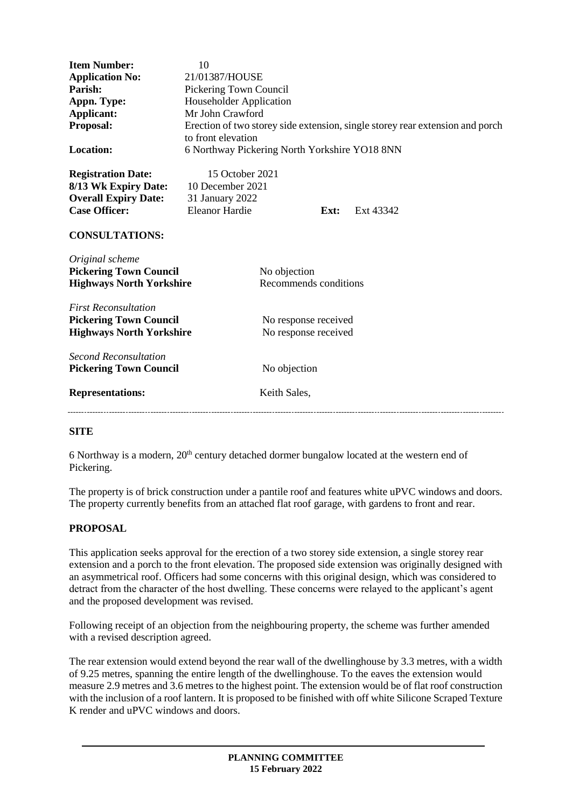| <b>Item Number:</b><br><b>Application No:</b><br>Parish:<br>Appn. Type:<br>Applicant:<br>Proposal:<br><b>Location:</b>            | 10<br>21/01387/HOUSE<br>Pickering Town Council<br><b>Householder Application</b><br>Mr John Crawford<br>to front elevation<br>6 Northway Pickering North Yorkshire YO18 8NN |                                              |      | Erection of two storey side extension, single storey rear extension and porch |
|-----------------------------------------------------------------------------------------------------------------------------------|-----------------------------------------------------------------------------------------------------------------------------------------------------------------------------|----------------------------------------------|------|-------------------------------------------------------------------------------|
| <b>Registration Date:</b><br>8/13 Wk Expiry Date:<br><b>Overall Expiry Date:</b><br><b>Case Officer:</b><br><b>CONSULTATIONS:</b> | 15 October 2021<br>10 December 2021<br>31 January 2022<br><b>Eleanor Hardie</b>                                                                                             |                                              | Ext: | Ext 43342                                                                     |
| Original scheme<br><b>Pickering Town Council</b><br><b>Highways North Yorkshire</b>                                               |                                                                                                                                                                             | No objection<br>Recommends conditions        |      |                                                                               |
| <b>First Reconsultation</b><br><b>Pickering Town Council</b><br><b>Highways North Yorkshire</b>                                   |                                                                                                                                                                             | No response received<br>No response received |      |                                                                               |
| <b>Second Reconsultation</b><br><b>Pickering Town Council</b><br><b>Representations:</b>                                          |                                                                                                                                                                             | No objection<br>Keith Sales,                 |      |                                                                               |
|                                                                                                                                   |                                                                                                                                                                             |                                              |      |                                                                               |

## **SITE**

6 Northway is a modern,  $20<sup>th</sup>$  century detached dormer bungalow located at the western end of Pickering.

The property is of brick construction under a pantile roof and features white uPVC windows and doors. The property currently benefits from an attached flat roof garage, with gardens to front and rear.

## **PROPOSAL**

This application seeks approval for the erection of a two storey side extension, a single storey rear extension and a porch to the front elevation. The proposed side extension was originally designed with an asymmetrical roof. Officers had some concerns with this original design, which was considered to detract from the character of the host dwelling. These concerns were relayed to the applicant's agent and the proposed development was revised.

Following receipt of an objection from the neighbouring property, the scheme was further amended with a revised description agreed.

The rear extension would extend beyond the rear wall of the dwellinghouse by 3.3 metres, with a width of 9.25 metres, spanning the entire length of the dwellinghouse. To the eaves the extension would measure 2.9 metres and 3.6 metres to the highest point. The extension would be of flat roof construction with the inclusion of a roof lantern. It is proposed to be finished with off white Silicone Scraped Texture K render and uPVC windows and doors.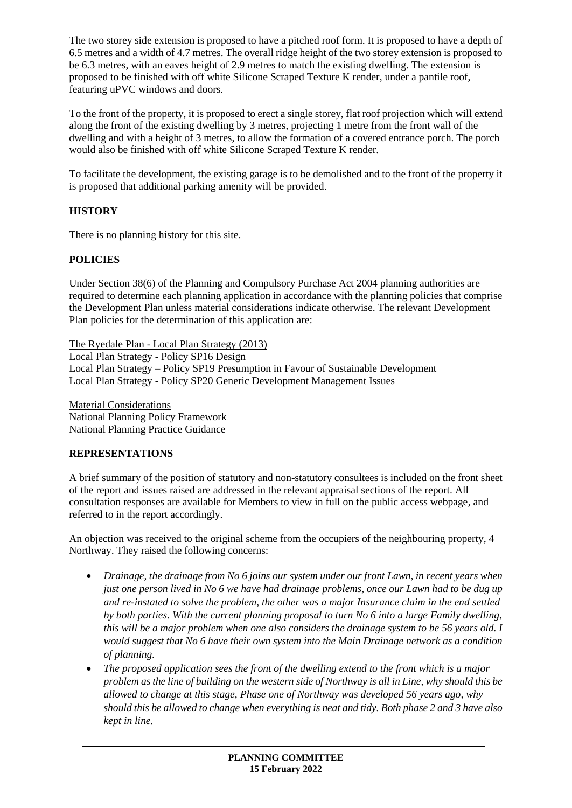The two storey side extension is proposed to have a pitched roof form. It is proposed to have a depth of 6.5 metres and a width of 4.7 metres. The overall ridge height of the two storey extension is proposed to be 6.3 metres, with an eaves height of 2.9 metres to match the existing dwelling. The extension is proposed to be finished with off white Silicone Scraped Texture K render, under a pantile roof, featuring uPVC windows and doors.

To the front of the property, it is proposed to erect a single storey, flat roof projection which will extend along the front of the existing dwelling by 3 metres, projecting 1 metre from the front wall of the dwelling and with a height of 3 metres, to allow the formation of a covered entrance porch. The porch would also be finished with off white Silicone Scraped Texture K render.

To facilitate the development, the existing garage is to be demolished and to the front of the property it is proposed that additional parking amenity will be provided.

## **HISTORY**

There is no planning history for this site.

## **POLICIES**

Under Section 38(6) of the Planning and Compulsory Purchase Act 2004 planning authorities are required to determine each planning application in accordance with the planning policies that comprise the Development Plan unless material considerations indicate otherwise. The relevant Development Plan policies for the determination of this application are:

The Ryedale Plan - Local Plan Strategy (2013)

Local Plan Strategy - Policy SP16 Design Local Plan Strategy – Policy SP19 Presumption in Favour of Sustainable Development Local Plan Strategy - Policy SP20 Generic Development Management Issues

Material Considerations National Planning Policy Framework National Planning Practice Guidance

## **REPRESENTATIONS**

A brief summary of the position of statutory and non-statutory consultees is included on the front sheet of the report and issues raised are addressed in the relevant appraisal sections of the report. All consultation responses are available for Members to view in full on the public access webpage, and referred to in the report accordingly.

An objection was received to the original scheme from the occupiers of the neighbouring property, 4 Northway. They raised the following concerns:

- *Drainage, the drainage from No 6 joins our system under our front Lawn, in recent years when just one person lived in No 6 we have had drainage problems, once our Lawn had to be dug up and re-instated to solve the problem, the other was a major Insurance claim in the end settled by both parties. With the current planning proposal to turn No 6 into a large Family dwelling, this will be a major problem when one also considers the drainage system to be 56 years old. I would suggest that No 6 have their own system into the Main Drainage network as a condition of planning.*
- *The proposed application sees the front of the dwelling extend to the front which is a major problem as the line of building on the western side of Northway is all in Line, why should this be allowed to change at this stage, Phase one of Northway was developed 56 years ago, why should this be allowed to change when everything is neat and tidy. Both phase 2 and 3 have also kept in line.*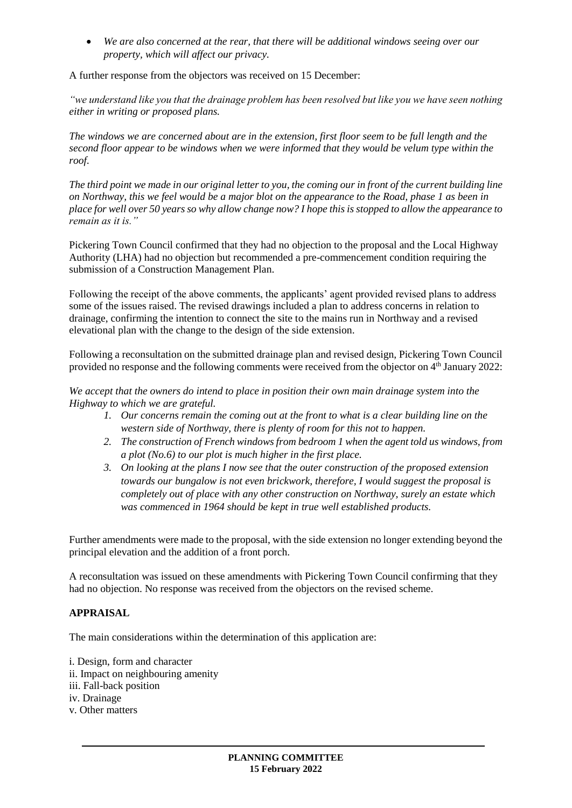*We are also concerned at the rear, that there will be additional windows seeing over our property, which will affect our privacy.*

A further response from the objectors was received on 15 December:

*"we understand like you that the drainage problem has been resolved but like you we have seen nothing either in writing or proposed plans.*

*The windows we are concerned about are in the extension, first floor seem to be full length and the second floor appear to be windows when we were informed that they would be velum type within the roof.*

*The third point we made in our original letter to you, the coming our in front of the current building line on Northway, this we feel would be a major blot on the appearance to the Road, phase 1 as been in place for well over 50 years so why allow change now? I hope this is stopped to allow the appearance to remain as it is."*

Pickering Town Council confirmed that they had no objection to the proposal and the Local Highway Authority (LHA) had no objection but recommended a pre-commencement condition requiring the submission of a Construction Management Plan.

Following the receipt of the above comments, the applicants' agent provided revised plans to address some of the issues raised. The revised drawings included a plan to address concerns in relation to drainage, confirming the intention to connect the site to the mains run in Northway and a revised elevational plan with the change to the design of the side extension.

Following a reconsultation on the submitted drainage plan and revised design, Pickering Town Council provided no response and the following comments were received from the objector on 4<sup>th</sup> January 2022:

*We accept that the owners do intend to place in position their own main drainage system into the Highway to which we are grateful.*

- *1. Our concerns remain the coming out at the front to what is a clear building line on the western side of Northway, there is plenty of room for this not to happen.*
- *2. The construction of French windows from bedroom 1 when the agent told us windows, from a plot (No.6) to our plot is much higher in the first place.*
- *3. On looking at the plans I now see that the outer construction of the proposed extension towards our bungalow is not even brickwork, therefore, I would suggest the proposal is completely out of place with any other construction on Northway, surely an estate which was commenced in 1964 should be kept in true well established products.*

Further amendments were made to the proposal, with the side extension no longer extending beyond the principal elevation and the addition of a front porch.

A reconsultation was issued on these amendments with Pickering Town Council confirming that they had no objection. No response was received from the objectors on the revised scheme.

## **APPRAISAL**

The main considerations within the determination of this application are:

i. Design, form and character ii. Impact on neighbouring amenity iii. Fall-back position iv. Drainage v. Other matters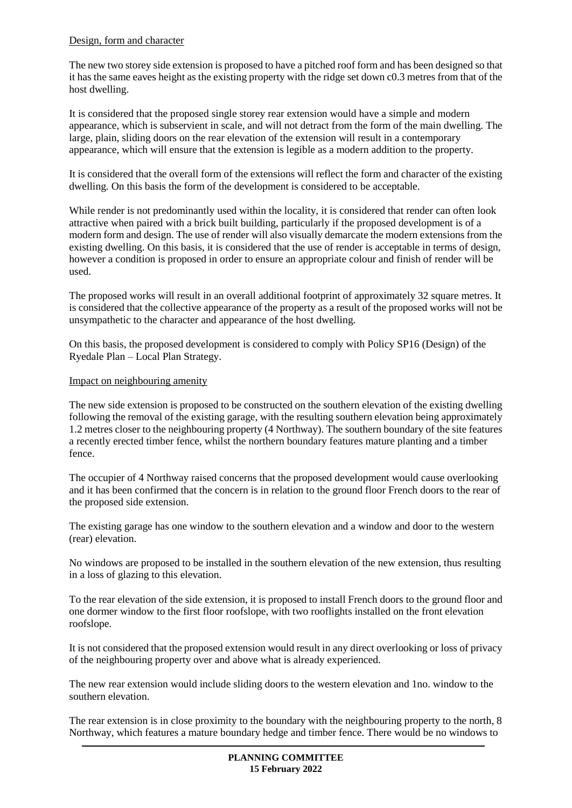### Design, form and character

The new two storey side extension is proposed to have a pitched roof form and has been designed so that it has the same eaves height as the existing property with the ridge set down c0.3 metres from that of the host dwelling.

It is considered that the proposed single storey rear extension would have a simple and modern appearance, which is subservient in scale, and will not detract from the form of the main dwelling. The large, plain, sliding doors on the rear elevation of the extension will result in a contemporary appearance, which will ensure that the extension is legible as a modern addition to the property.

It is considered that the overall form of the extensions will reflect the form and character of the existing dwelling. On this basis the form of the development is considered to be acceptable.

While render is not predominantly used within the locality, it is considered that render can often look attractive when paired with a brick built building, particularly if the proposed development is of a modern form and design. The use of render will also visually demarcate the modern extensions from the existing dwelling. On this basis, it is considered that the use of render is acceptable in terms of design, however a condition is proposed in order to ensure an appropriate colour and finish of render will be used.

The proposed works will result in an overall additional footprint of approximately 32 square metres. It is considered that the collective appearance of the property as a result of the proposed works will not be unsympathetic to the character and appearance of the host dwelling.

On this basis, the proposed development is considered to comply with Policy SP16 (Design) of the Ryedale Plan – Local Plan Strategy.

#### Impact on neighbouring amenity

The new side extension is proposed to be constructed on the southern elevation of the existing dwelling following the removal of the existing garage, with the resulting southern elevation being approximately 1.2 metres closer to the neighbouring property (4 Northway). The southern boundary of the site features a recently erected timber fence, whilst the northern boundary features mature planting and a timber fence.

The occupier of 4 Northway raised concerns that the proposed development would cause overlooking and it has been confirmed that the concern is in relation to the ground floor French doors to the rear of the proposed side extension.

The existing garage has one window to the southern elevation and a window and door to the western (rear) elevation.

No windows are proposed to be installed in the southern elevation of the new extension, thus resulting in a loss of glazing to this elevation.

To the rear elevation of the side extension, it is proposed to install French doors to the ground floor and one dormer window to the first floor roofslope, with two rooflights installed on the front elevation roofslope.

It is not considered that the proposed extension would result in any direct overlooking or loss of privacy of the neighbouring property over and above what is already experienced.

The new rear extension would include sliding doors to the western elevation and 1no. window to the southern elevation.

The rear extension is in close proximity to the boundary with the neighbouring property to the north, 8 Northway, which features a mature boundary hedge and timber fence. There would be no windows to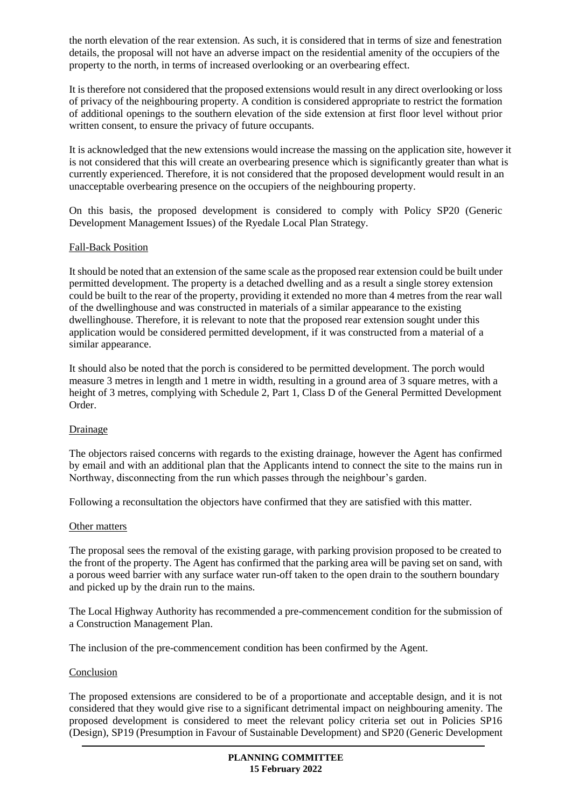the north elevation of the rear extension. As such, it is considered that in terms of size and fenestration details, the proposal will not have an adverse impact on the residential amenity of the occupiers of the property to the north, in terms of increased overlooking or an overbearing effect.

It is therefore not considered that the proposed extensions would result in any direct overlooking or loss of privacy of the neighbouring property. A condition is considered appropriate to restrict the formation of additional openings to the southern elevation of the side extension at first floor level without prior written consent, to ensure the privacy of future occupants.

It is acknowledged that the new extensions would increase the massing on the application site, however it is not considered that this will create an overbearing presence which is significantly greater than what is currently experienced. Therefore, it is not considered that the proposed development would result in an unacceptable overbearing presence on the occupiers of the neighbouring property.

On this basis, the proposed development is considered to comply with Policy SP20 (Generic Development Management Issues) of the Ryedale Local Plan Strategy.

## Fall-Back Position

It should be noted that an extension of the same scale as the proposed rear extension could be built under permitted development. The property is a detached dwelling and as a result a single storey extension could be built to the rear of the property, providing it extended no more than 4 metres from the rear wall of the dwellinghouse and was constructed in materials of a similar appearance to the existing dwellinghouse. Therefore, it is relevant to note that the proposed rear extension sought under this application would be considered permitted development, if it was constructed from a material of a similar appearance.

It should also be noted that the porch is considered to be permitted development. The porch would measure 3 metres in length and 1 metre in width, resulting in a ground area of 3 square metres, with a height of 3 metres, complying with Schedule 2, Part 1, Class D of the General Permitted Development Order.

#### Drainage

The objectors raised concerns with regards to the existing drainage, however the Agent has confirmed by email and with an additional plan that the Applicants intend to connect the site to the mains run in Northway, disconnecting from the run which passes through the neighbour's garden.

Following a reconsultation the objectors have confirmed that they are satisfied with this matter.

#### Other matters

The proposal sees the removal of the existing garage, with parking provision proposed to be created to the front of the property. The Agent has confirmed that the parking area will be paving set on sand, with a porous weed barrier with any surface water run-off taken to the open drain to the southern boundary and picked up by the drain run to the mains.

The Local Highway Authority has recommended a pre-commencement condition for the submission of a Construction Management Plan.

The inclusion of the pre-commencement condition has been confirmed by the Agent.

#### Conclusion

The proposed extensions are considered to be of a proportionate and acceptable design, and it is not considered that they would give rise to a significant detrimental impact on neighbouring amenity. The proposed development is considered to meet the relevant policy criteria set out in Policies SP16 (Design), SP19 (Presumption in Favour of Sustainable Development) and SP20 (Generic Development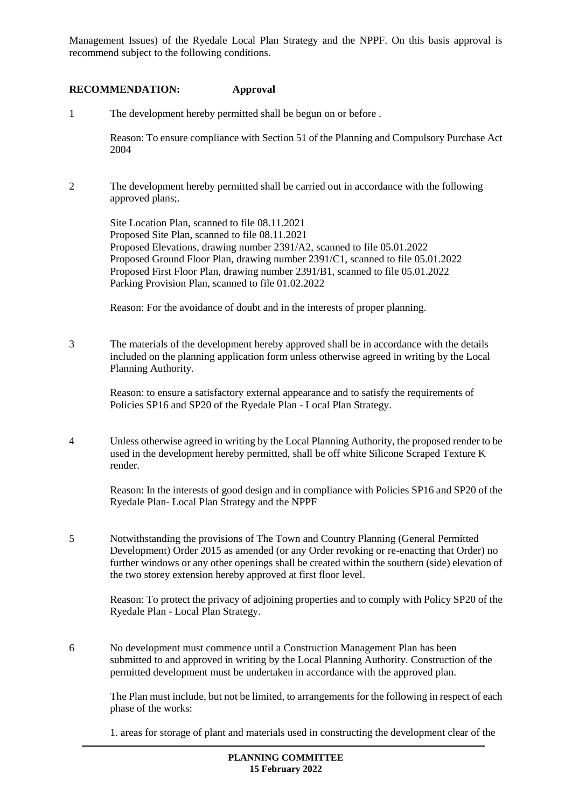Management Issues) of the Ryedale Local Plan Strategy and the NPPF. On this basis approval is recommend subject to the following conditions.

### **RECOMMENDATION: Approval**

1 The development hereby permitted shall be begun on or before .

Reason: To ensure compliance with Section 51 of the Planning and Compulsory Purchase Act 2004

2 The development hereby permitted shall be carried out in accordance with the following approved plans;.

Site Location Plan, scanned to file 08.11.2021 Proposed Site Plan, scanned to file 08.11.2021 Proposed Elevations, drawing number 2391/A2, scanned to file 05.01.2022 Proposed Ground Floor Plan, drawing number 2391/C1, scanned to file 05.01.2022 Proposed First Floor Plan, drawing number 2391/B1, scanned to file 05.01.2022 Parking Provision Plan, scanned to file 01.02.2022

Reason: For the avoidance of doubt and in the interests of proper planning.

3 The materials of the development hereby approved shall be in accordance with the details included on the planning application form unless otherwise agreed in writing by the Local Planning Authority.

Reason: to ensure a satisfactory external appearance and to satisfy the requirements of Policies SP16 and SP20 of the Ryedale Plan - Local Plan Strategy.

4 Unless otherwise agreed in writing by the Local Planning Authority, the proposed render to be used in the development hereby permitted, shall be off white Silicone Scraped Texture K render.

Reason: In the interests of good design and in compliance with Policies SP16 and SP20 of the Ryedale Plan- Local Plan Strategy and the NPPF

5 Notwithstanding the provisions of The Town and Country Planning (General Permitted Development) Order 2015 as amended (or any Order revoking or re-enacting that Order) no further windows or any other openings shall be created within the southern (side) elevation of the two storey extension hereby approved at first floor level.

Reason: To protect the privacy of adjoining properties and to comply with Policy SP20 of the Ryedale Plan - Local Plan Strategy.

6 No development must commence until a Construction Management Plan has been submitted to and approved in writing by the Local Planning Authority. Construction of the permitted development must be undertaken in accordance with the approved plan.

The Plan must include, but not be limited, to arrangements for the following in respect of each phase of the works:

1. areas for storage of plant and materials used in constructing the development clear of the